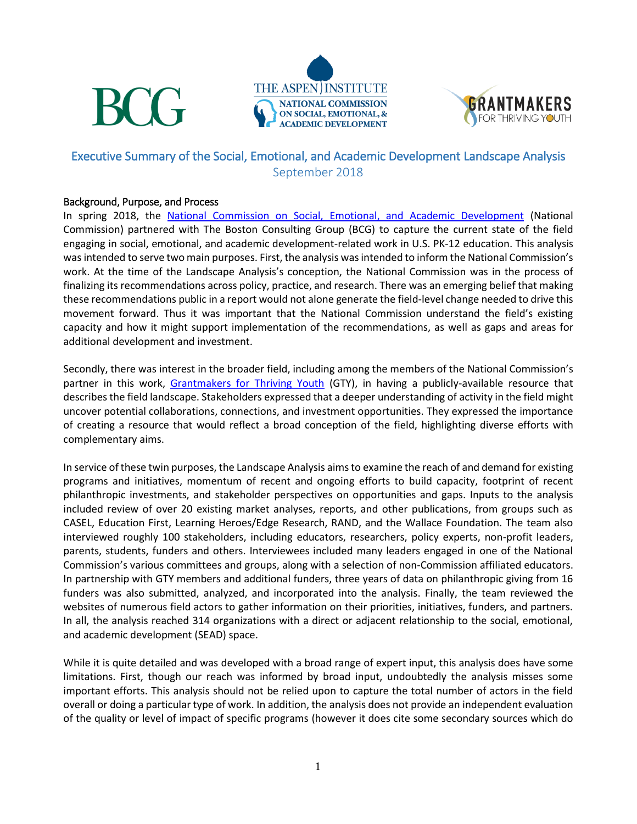





### Executive Summary of the Social, Emotional, and Academic Development Landscape Analysis September 2018

#### Background, Purpose, and Process

In spring 2018, the [National Commission on Social, Emotional, and Academic Development](https://www.aspeninstitute.org/programs/national-commission-on-social-emotional-and-academic-development/ncsead-newsroom/) (National Commission) partnered with The Boston Consulting Group (BCG) to capture the current state of the field engaging in social, emotional, and academic development-related work in U.S. PK-12 education. This analysis was intended to serve two main purposes. First, the analysis was intended to inform the National Commission's work. At the time of the Landscape Analysis's conception, the National Commission was in the process of finalizing its recommendations across policy, practice, and research. There was an emerging belief that making these recommendations public in a report would not alone generate the field-level change needed to drive this movement forward. Thus it was important that the National Commission understand the field's existing capacity and how it might support implementation of the recommendations, as well as gaps and areas for additional development and investment.

Secondly, there was interest in the broader field, including among the members of the National Commission's partner in this work, [Grantmakers for Thriving Youth](http://thrivingyouth.org/) (GTY), in having a publicly-available resource that describesthe field landscape. Stakeholders expressed that a deeper understanding of activity in the field might uncover potential collaborations, connections, and investment opportunities. They expressed the importance of creating a resource that would reflect a broad conception of the field, highlighting diverse efforts with complementary aims.

In service of these twin purposes, the Landscape Analysis aims to examine the reach of and demand for existing programs and initiatives, momentum of recent and ongoing efforts to build capacity, footprint of recent philanthropic investments, and stakeholder perspectives on opportunities and gaps. Inputs to the analysis included review of over 20 existing market analyses, reports, and other publications, from groups such as CASEL, Education First, Learning Heroes/Edge Research, RAND, and the Wallace Foundation. The team also interviewed roughly 100 stakeholders, including educators, researchers, policy experts, non-profit leaders, parents, students, funders and others. Interviewees included many leaders engaged in one of the National Commission's various committees and groups, along with a selection of non-Commission affiliated educators. In partnership with GTY members and additional funders, three years of data on philanthropic giving from 16 funders was also submitted, analyzed, and incorporated into the analysis. Finally, the team reviewed the websites of numerous field actors to gather information on their priorities, initiatives, funders, and partners. In all, the analysis reached 314 organizations with a direct or adjacent relationship to the social, emotional, and academic development (SEAD) space.

While it is quite detailed and was developed with a broad range of expert input, this analysis does have some limitations. First, though our reach was informed by broad input, undoubtedly the analysis misses some important efforts. This analysis should not be relied upon to capture the total number of actors in the field overall or doing a particular type of work. In addition, the analysis does not provide an independent evaluation of the quality or level of impact of specific programs (however it does cite some secondary sources which do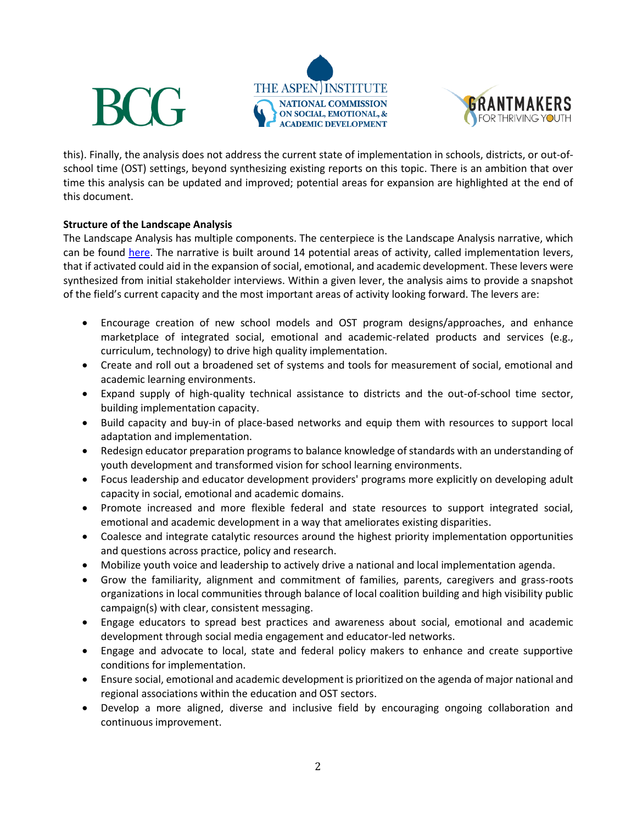





this). Finally, the analysis does not address the current state of implementation in schools, districts, or out-ofschool time (OST) settings, beyond synthesizing existing reports on this topic. There is an ambition that over time this analysis can be updated and improved; potential areas for expansion are highlighted at the end of this document.

### **Structure of the Landscape Analysis**

The Landscape Analysis has multiple components. The centerpiece is the Landscape Analysis narrative, which can be found [here.](https://assets.aspeninstitute.org/content/uploads/2018/09/NC-SEAD-Field-Landscape-AnalysisvF_092118.pdf) The narrative is built around 14 potential areas of activity, called implementation levers, that if activated could aid in the expansion of social, emotional, and academic development. These levers were synthesized from initial stakeholder interviews. Within a given lever, the analysis aims to provide a snapshot of the field's current capacity and the most important areas of activity looking forward. The levers are:

- Encourage creation of new school models and OST program designs/approaches, and enhance marketplace of integrated social, emotional and academic-related products and services (e.g., curriculum, technology) to drive high quality implementation.
- Create and roll out a broadened set of systems and tools for measurement of social, emotional and academic learning environments.
- Expand supply of high-quality technical assistance to districts and the out-of-school time sector, building implementation capacity.
- Build capacity and buy-in of place-based networks and equip them with resources to support local adaptation and implementation.
- Redesign educator preparation programs to balance knowledge of standards with an understanding of youth development and transformed vision for school learning environments.
- Focus leadership and educator development providers' programs more explicitly on developing adult capacity in social, emotional and academic domains.
- Promote increased and more flexible federal and state resources to support integrated social, emotional and academic development in a way that ameliorates existing disparities.
- Coalesce and integrate catalytic resources around the highest priority implementation opportunities and questions across practice, policy and research.
- Mobilize youth voice and leadership to actively drive a national and local implementation agenda.
- Grow the familiarity, alignment and commitment of families, parents, caregivers and grass-roots organizations in local communities through balance of local coalition building and high visibility public campaign(s) with clear, consistent messaging.
- Engage educators to spread best practices and awareness about social, emotional and academic development through social media engagement and educator-led networks.
- Engage and advocate to local, state and federal policy makers to enhance and create supportive conditions for implementation.
- Ensure social, emotional and academic development is prioritized on the agenda of major national and regional associations within the education and OST sectors.
- Develop a more aligned, diverse and inclusive field by encouraging ongoing collaboration and continuous improvement.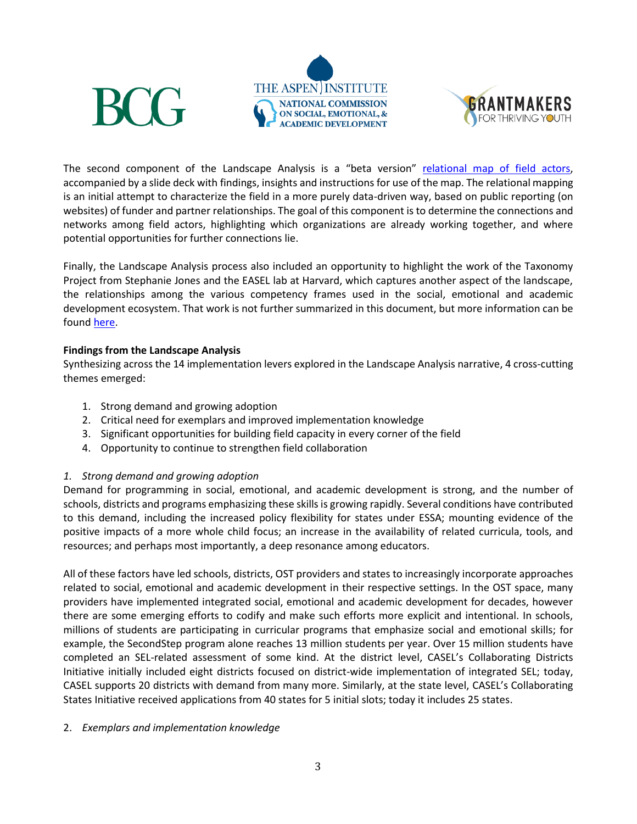



The second component of the Landscape Analysis is a "beta version" [relational map of field actors,](https://assets.aspeninstitute.org/content/uploads/2018/09/SEAD-Landscape-Analysis-relational-map.pdf) accompanied by a slide deck with findings, insights and instructions for use of the map. The relational mapping is an initial attempt to characterize the field in a more purely data-driven way, based on public reporting (on websites) of funder and partner relationships. The goal of this component is to determine the connections and networks among field actors, highlighting which organizations are already working together, and where potential opportunities for further connections lie.

Finally, the Landscape Analysis process also included an opportunity to highlight the work of the Taxonomy Project from Stephanie Jones and the EASEL lab at Harvard, which captures another aspect of the landscape, the relationships among the various competency frames used in the social, emotional and academic development ecosystem. That work is not further summarized in this document, but more information can be found [here.](https://easel.gse.harvard.edu/taxonomy-project)

#### **Findings from the Landscape Analysis**

**BCG** 

Synthesizing across the 14 implementation levers explored in the Landscape Analysis narrative, 4 cross-cutting themes emerged:

- 1. Strong demand and growing adoption
- 2. Critical need for exemplars and improved implementation knowledge
- 3. Significant opportunities for building field capacity in every corner of the field
- 4. Opportunity to continue to strengthen field collaboration

#### *1. Strong demand and growing adoption*

Demand for programming in social, emotional, and academic development is strong, and the number of schools, districts and programs emphasizing these skills is growing rapidly. Several conditions have contributed to this demand, including the increased policy flexibility for states under ESSA; mounting evidence of the positive impacts of a more whole child focus; an increase in the availability of related curricula, tools, and resources; and perhaps most importantly, a deep resonance among educators.

All of these factors have led schools, districts, OST providers and states to increasingly incorporate approaches related to social, emotional and academic development in their respective settings. In the OST space, many providers have implemented integrated social, emotional and academic development for decades, however there are some emerging efforts to codify and make such efforts more explicit and intentional. In schools, millions of students are participating in curricular programs that emphasize social and emotional skills; for example, the SecondStep program alone reaches 13 million students per year. Over 15 million students have completed an SEL-related assessment of some kind. At the district level, CASEL's Collaborating Districts Initiative initially included eight districts focused on district-wide implementation of integrated SEL; today, CASEL supports 20 districts with demand from many more. Similarly, at the state level, CASEL's Collaborating States Initiative received applications from 40 states for 5 initial slots; today it includes 25 states.

#### 2. *Exemplars and implementation knowledge*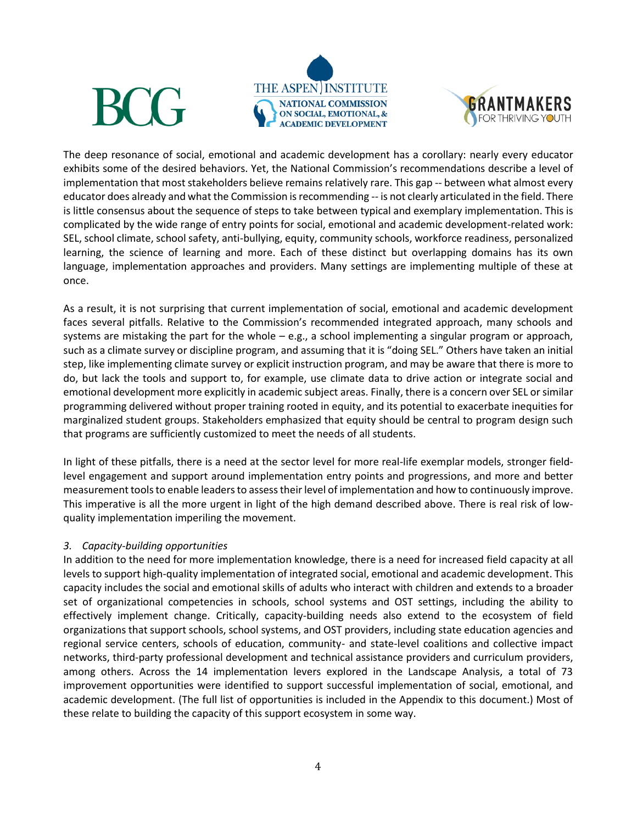





The deep resonance of social, emotional and academic development has a corollary: nearly every educator exhibits some of the desired behaviors. Yet, the National Commission's recommendations describe a level of implementation that most stakeholders believe remains relatively rare. This gap -- between what almost every educator does already and what the Commission is recommending -- is not clearly articulated in the field. There is little consensus about the sequence of steps to take between typical and exemplary implementation. This is complicated by the wide range of entry points for social, emotional and academic development-related work: SEL, school climate, school safety, anti-bullying, equity, community schools, workforce readiness, personalized learning, the science of learning and more. Each of these distinct but overlapping domains has its own language, implementation approaches and providers. Many settings are implementing multiple of these at once.

As a result, it is not surprising that current implementation of social, emotional and academic development faces several pitfalls. Relative to the Commission's recommended integrated approach, many schools and systems are mistaking the part for the whole – e.g., a school implementing a singular program or approach, such as a climate survey or discipline program, and assuming that it is "doing SEL." Others have taken an initial step, like implementing climate survey or explicit instruction program, and may be aware that there is more to do, but lack the tools and support to, for example, use climate data to drive action or integrate social and emotional development more explicitly in academic subject areas. Finally, there is a concern over SEL or similar programming delivered without proper training rooted in equity, and its potential to exacerbate inequities for marginalized student groups. Stakeholders emphasized that equity should be central to program design such that programs are sufficiently customized to meet the needs of all students.

In light of these pitfalls, there is a need at the sector level for more real-life exemplar models, stronger fieldlevel engagement and support around implementation entry points and progressions, and more and better measurement tools to enable leaders to assess their level of implementation and how to continuously improve. This imperative is all the more urgent in light of the high demand described above. There is real risk of lowquality implementation imperiling the movement.

#### *3. Capacity-building opportunities*

In addition to the need for more implementation knowledge, there is a need for increased field capacity at all levels to support high-quality implementation of integrated social, emotional and academic development. This capacity includes the social and emotional skills of adults who interact with children and extends to a broader set of organizational competencies in schools, school systems and OST settings, including the ability to effectively implement change. Critically, capacity-building needs also extend to the ecosystem of field organizations that support schools, school systems, and OST providers, including state education agencies and regional service centers, schools of education, community- and state-level coalitions and collective impact networks, third-party professional development and technical assistance providers and curriculum providers, among others. Across the 14 implementation levers explored in the Landscape Analysis, a total of 73 improvement opportunities were identified to support successful implementation of social, emotional, and academic development. (The full list of opportunities is included in the Appendix to this document.) Most of these relate to building the capacity of this support ecosystem in some way.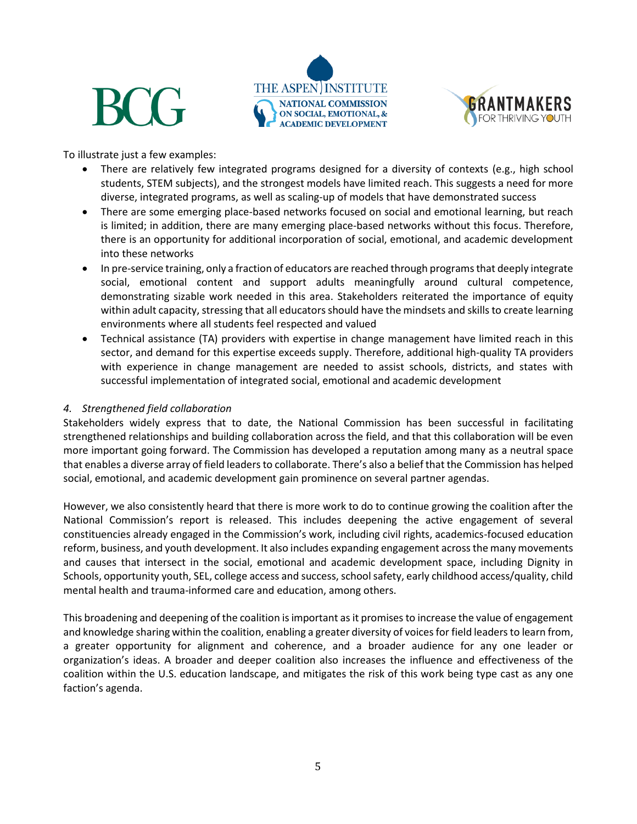





To illustrate just a few examples:

- There are relatively few integrated programs designed for a diversity of contexts (e.g., high school students, STEM subjects), and the strongest models have limited reach. This suggests a need for more diverse, integrated programs, as well as scaling-up of models that have demonstrated success
- There are some emerging place-based networks focused on social and emotional learning, but reach is limited; in addition, there are many emerging place-based networks without this focus. Therefore, there is an opportunity for additional incorporation of social, emotional, and academic development into these networks
- In pre-service training, only a fraction of educators are reached through programs that deeply integrate social, emotional content and support adults meaningfully around cultural competence, demonstrating sizable work needed in this area. Stakeholders reiterated the importance of equity within adult capacity, stressing that all educators should have the mindsets and skills to create learning environments where all students feel respected and valued
- Technical assistance (TA) providers with expertise in change management have limited reach in this sector, and demand for this expertise exceeds supply. Therefore, additional high-quality TA providers with experience in change management are needed to assist schools, districts, and states with successful implementation of integrated social, emotional and academic development

### *4. Strengthened field collaboration*

Stakeholders widely express that to date, the National Commission has been successful in facilitating strengthened relationships and building collaboration across the field, and that this collaboration will be even more important going forward. The Commission has developed a reputation among many as a neutral space that enables a diverse array of field leaders to collaborate. There's also a belief that the Commission has helped social, emotional, and academic development gain prominence on several partner agendas.

However, we also consistently heard that there is more work to do to continue growing the coalition after the National Commission's report is released. This includes deepening the active engagement of several constituencies already engaged in the Commission's work, including civil rights, academics-focused education reform, business, and youth development. It also includes expanding engagement across the many movements and causes that intersect in the social, emotional and academic development space, including Dignity in Schools, opportunity youth, SEL, college access and success, school safety, early childhood access/quality, child mental health and trauma-informed care and education, among others.

This broadening and deepening of the coalition is important as it promises to increase the value of engagement and knowledge sharing within the coalition, enabling a greater diversity of voices for field leaders to learn from, a greater opportunity for alignment and coherence, and a broader audience for any one leader or organization's ideas. A broader and deeper coalition also increases the influence and effectiveness of the coalition within the U.S. education landscape, and mitigates the risk of this work being type cast as any one faction's agenda.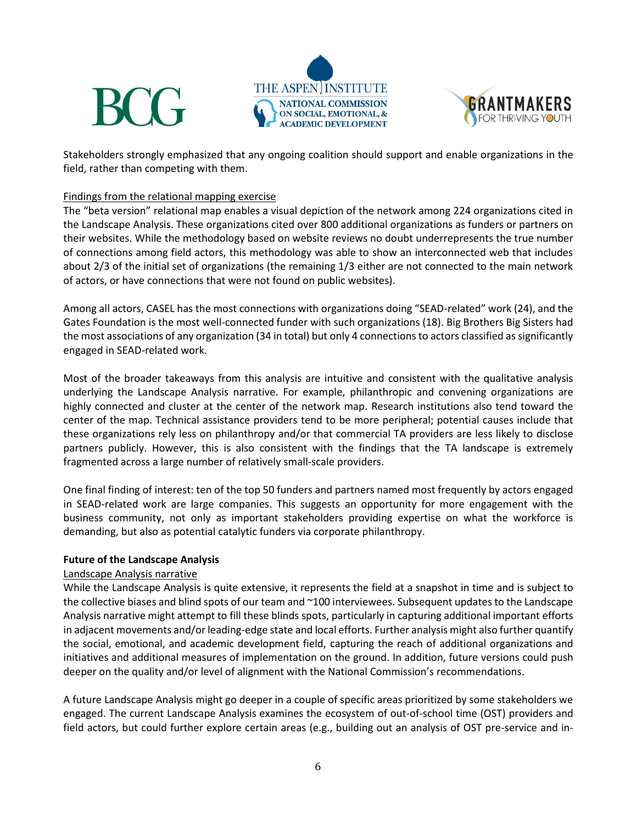





Stakeholders strongly emphasized that any ongoing coalition should support and enable organizations in the field, rather than competing with them.

#### Findings from the relational mapping exercise

The "beta version" relational map enables a visual depiction of the network among 224 organizations cited in the Landscape Analysis. These organizations cited over 800 additional organizations as funders or partners on their websites. While the methodology based on website reviews no doubt underrepresents the true number of connections among field actors, this methodology was able to show an interconnected web that includes about 2/3 of the initial set of organizations (the remaining 1/3 either are not connected to the main network of actors, or have connections that were not found on public websites).

Among all actors, CASEL has the most connections with organizations doing "SEAD-related" work (24), and the Gates Foundation is the most well-connected funder with such organizations (18). Big Brothers Big Sisters had the most associations of any organization (34 in total) but only 4 connections to actors classified as significantly engaged in SEAD-related work.

Most of the broader takeaways from this analysis are intuitive and consistent with the qualitative analysis underlying the Landscape Analysis narrative. For example, philanthropic and convening organizations are highly connected and cluster at the center of the network map. Research institutions also tend toward the center of the map. Technical assistance providers tend to be more peripheral; potential causes include that these organizations rely less on philanthropy and/or that commercial TA providers are less likely to disclose partners publicly. However, this is also consistent with the findings that the TA landscape is extremely fragmented across a large number of relatively small-scale providers.

One final finding of interest: ten of the top 50 funders and partners named most frequently by actors engaged in SEAD-related work are large companies. This suggests an opportunity for more engagement with the business community, not only as important stakeholders providing expertise on what the workforce is demanding, but also as potential catalytic funders via corporate philanthropy.

#### **Future of the Landscape Analysis**

#### Landscape Analysis narrative

While the Landscape Analysis is quite extensive, it represents the field at a snapshot in time and is subject to the collective biases and blind spots of our team and ~100 interviewees. Subsequent updates to the Landscape Analysis narrative might attempt to fill these blinds spots, particularly in capturing additional important efforts in adjacent movements and/or leading-edge state and local efforts. Further analysis might also further quantify the social, emotional, and academic development field, capturing the reach of additional organizations and initiatives and additional measures of implementation on the ground. In addition, future versions could push deeper on the quality and/or level of alignment with the National Commission's recommendations.

A future Landscape Analysis might go deeper in a couple of specific areas prioritized by some stakeholders we engaged. The current Landscape Analysis examines the ecosystem of out-of-school time (OST) providers and field actors, but could further explore certain areas (e.g., building out an analysis of OST pre-service and in-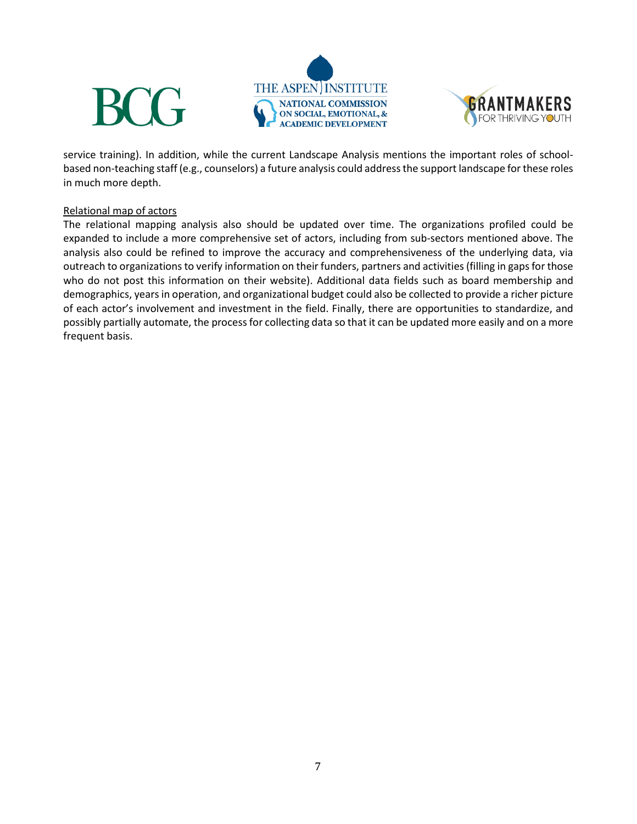





service training). In addition, while the current Landscape Analysis mentions the important roles of schoolbased non-teaching staff (e.g., counselors) a future analysis could address the support landscape for these roles in much more depth.

#### Relational map of actors

The relational mapping analysis also should be updated over time. The organizations profiled could be expanded to include a more comprehensive set of actors, including from sub-sectors mentioned above. The analysis also could be refined to improve the accuracy and comprehensiveness of the underlying data, via outreach to organizations to verify information on their funders, partners and activities (filling in gaps for those who do not post this information on their website). Additional data fields such as board membership and demographics, years in operation, and organizational budget could also be collected to provide a richer picture of each actor's involvement and investment in the field. Finally, there are opportunities to standardize, and possibly partially automate, the process for collecting data so that it can be updated more easily and on a more frequent basis.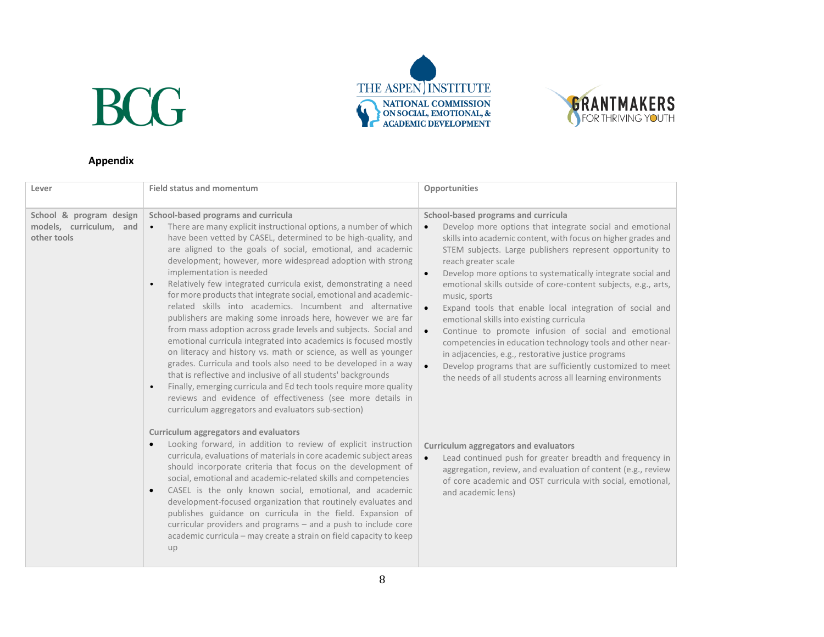



### **Appendix**

| Lever                                                                                                                                             | <b>Field status and momentum</b>                                                                                                                                                                                                                                                                                                                                                                                                                                                                                                                                                                                                                                                                                                                                                                                                                                                                                                                                                                                                                                       | Opportunities                                                                                                                                                                                                                                                                                                                                                                                                                                                                                                                                                                                                                                                                                                                                                                                                                                                            |
|---------------------------------------------------------------------------------------------------------------------------------------------------|------------------------------------------------------------------------------------------------------------------------------------------------------------------------------------------------------------------------------------------------------------------------------------------------------------------------------------------------------------------------------------------------------------------------------------------------------------------------------------------------------------------------------------------------------------------------------------------------------------------------------------------------------------------------------------------------------------------------------------------------------------------------------------------------------------------------------------------------------------------------------------------------------------------------------------------------------------------------------------------------------------------------------------------------------------------------|--------------------------------------------------------------------------------------------------------------------------------------------------------------------------------------------------------------------------------------------------------------------------------------------------------------------------------------------------------------------------------------------------------------------------------------------------------------------------------------------------------------------------------------------------------------------------------------------------------------------------------------------------------------------------------------------------------------------------------------------------------------------------------------------------------------------------------------------------------------------------|
| School & program design<br>School-based programs and curricula<br>models, curriculum, and<br>other tools<br>implementation is needed<br>$\bullet$ | There are many explicit instructional options, a number of which<br>have been vetted by CASEL, determined to be high-quality, and<br>are aligned to the goals of social, emotional, and academic<br>development; however, more widespread adoption with strong<br>Relatively few integrated curricula exist, demonstrating a need<br>for more products that integrate social, emotional and academic-<br>related skills into academics. Incumbent and alternative<br>publishers are making some inroads here, however we are far<br>from mass adoption across grade levels and subjects. Social and<br>emotional curricula integrated into academics is focused mostly<br>on literacy and history vs. math or science, as well as younger<br>grades. Curricula and tools also need to be developed in a way<br>that is reflective and inclusive of all students' backgrounds<br>Finally, emerging curricula and Ed tech tools require more quality<br>reviews and evidence of effectiveness (see more details in<br>curriculum aggregators and evaluators sub-section) | School-based programs and curricula<br>Develop more options that integrate social and emotional<br>$\bullet$<br>skills into academic content, with focus on higher grades and<br>STEM subjects. Large publishers represent opportunity to<br>reach greater scale<br>Develop more options to systematically integrate social and<br>$\bullet$<br>emotional skills outside of core-content subjects, e.g., arts,<br>music, sports<br>Expand tools that enable local integration of social and<br>$\bullet$<br>emotional skills into existing curricula<br>Continue to promote infusion of social and emotional<br>$\bullet$<br>competencies in education technology tools and other near-<br>in adjacencies, e.g., restorative justice programs<br>Develop programs that are sufficiently customized to meet<br>the needs of all students across all learning environments |
|                                                                                                                                                   | Curriculum aggregators and evaluators<br>Looking forward, in addition to review of explicit instruction<br>curricula, evaluations of materials in core academic subject areas<br>should incorporate criteria that focus on the development of<br>social, emotional and academic-related skills and competencies<br>CASEL is the only known social, emotional, and academic<br>$\bullet$<br>development-focused organization that routinely evaluates and<br>publishes guidance on curricula in the field. Expansion of<br>curricular providers and programs - and a push to include core<br>academic curricula - may create a strain on field capacity to keep<br>up                                                                                                                                                                                                                                                                                                                                                                                                   | <b>Curriculum aggregators and evaluators</b><br>Lead continued push for greater breadth and frequency in<br>$\bullet$<br>aggregation, review, and evaluation of content (e.g., review<br>of core academic and OST curricula with social, emotional,<br>and academic lens)                                                                                                                                                                                                                                                                                                                                                                                                                                                                                                                                                                                                |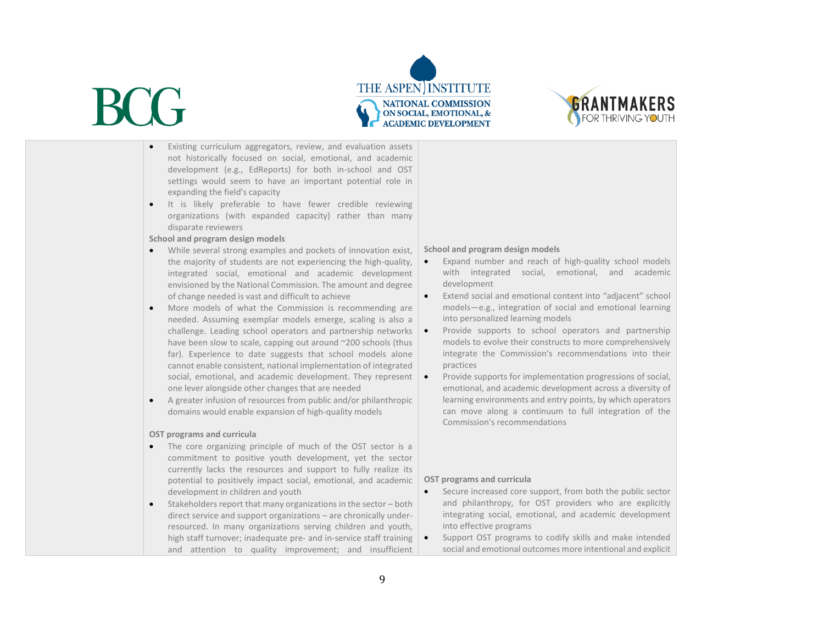



- Existing curriculum aggregators, review, and evaluation assets not historically focused on social, emotional, and academic development (e.g., EdReports) for both in-school and OST settings would seem to have an important potential role in expanding the field's capacity
- It is likely preferable to have fewer credible reviewing organizations (with expanded capacity) rather than many disparate reviewers
- **School and program design models**
- While several strong examples and pockets of innovation exist, the majority of students are not experiencing the high-quality, integrated social, emotional and academic development envisioned by the National Commission. The amount and degree of change needed is vast and difficult to achieve
- More models of what the Commission is recommending are needed. Assuming exemplar models emerge, scaling is also a challenge. Leading school operators and partnership networks have been slow to scale, capping out around ~200 schools (thus far). Experience to date suggests that school models alone cannot enable consistent, national implementation of integrated social, emotional, and academic development. They represent one lever alongside other changes that are needed
- A greater infusion of resources from public and/or philanthropic domains would enable expansion of high-quality models

#### **OST programs and curricula**

- The core organizing principle of much of the OST sector is a commitment to positive youth development, yet the sector currently lacks the resources and support to fully realize its potential to positively impact social, emotional, and academic development in children and youth
- Stakeholders report that many organizations in the sector both direct service and support organizations – are chronically underresourced. In many organizations serving children and youth, high staff turnover; inadequate pre- and in-service staff training | and attention to quality improvement; and insufficient

#### **School and program design models**

- Expand number and reach of high-quality school models with integrated social, emotional, and academic development
- Extend social and emotional content into "adjacent" school models—e.g., integration of social and emotional learning into personalized learning models
- Provide supports to school operators and partnership models to evolve their constructs to more comprehensively integrate the Commission's recommendations into their practices
- Provide supports for implementation progressions of social, emotional, and academic development across a diversity of learning environments and entry points, by which operators can move along a continuum to full integration of the Commission's recommendations

#### **OST programs and curricula**

- Secure increased core support, from both the public sector and philanthropy, for OST providers who are explicitly integrating social, emotional, and academic development into effective programs
- Support OST programs to codify skills and make intended social and emotional outcomes more intentional and explicit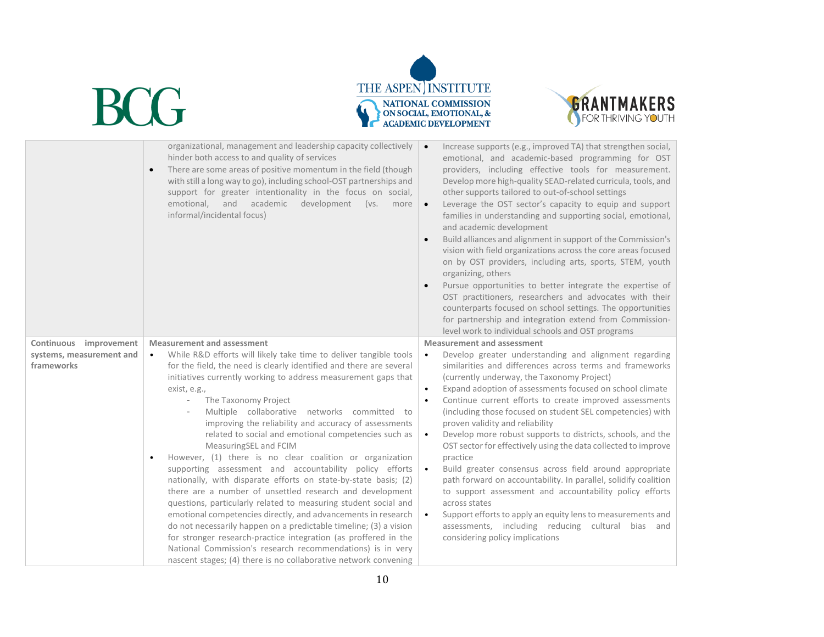



|                                                                     | organizational, management and leadership capacity collectively<br>hinder both access to and quality of services<br>There are some areas of positive momentum in the field (though<br>$\bullet$<br>with still a long way to go), including school-OST partnerships and<br>support for greater intentionality in the focus on social,<br>and academic<br>development<br>emotional,<br>(vs.<br>more<br>informal/incidental focus)                                                                                                                                                                                                                                                                                                                                                                                                                                                                                                                                                                                                                                                                                                                                                | Increase supports (e.g., improved TA) that strengthen social,<br>emotional, and academic-based programming for OST<br>providers, including effective tools for measurement.<br>Develop more high-quality SEAD-related curricula, tools, and<br>other supports tailored to out-of-school settings<br>Leverage the OST sector's capacity to equip and support<br>families in understanding and supporting social, emotional,<br>and academic development<br>Build alliances and alignment in support of the Commission's<br>vision with field organizations across the core areas focused<br>on by OST providers, including arts, sports, STEM, youth<br>organizing, others<br>Pursue opportunities to better integrate the expertise of<br>OST practitioners, researchers and advocates with their<br>counterparts focused on school settings. The opportunities<br>for partnership and integration extend from Commission-<br>level work to individual schools and OST programs |
|---------------------------------------------------------------------|--------------------------------------------------------------------------------------------------------------------------------------------------------------------------------------------------------------------------------------------------------------------------------------------------------------------------------------------------------------------------------------------------------------------------------------------------------------------------------------------------------------------------------------------------------------------------------------------------------------------------------------------------------------------------------------------------------------------------------------------------------------------------------------------------------------------------------------------------------------------------------------------------------------------------------------------------------------------------------------------------------------------------------------------------------------------------------------------------------------------------------------------------------------------------------|---------------------------------------------------------------------------------------------------------------------------------------------------------------------------------------------------------------------------------------------------------------------------------------------------------------------------------------------------------------------------------------------------------------------------------------------------------------------------------------------------------------------------------------------------------------------------------------------------------------------------------------------------------------------------------------------------------------------------------------------------------------------------------------------------------------------------------------------------------------------------------------------------------------------------------------------------------------------------------|
| Continuous<br>improvement<br>systems, measurement and<br>frameworks | <b>Measurement and assessment</b><br>While R&D efforts will likely take time to deliver tangible tools<br>$\bullet$<br>for the field, the need is clearly identified and there are several<br>initiatives currently working to address measurement gaps that<br>exist, e.g.,<br>The Taxonomy Project<br>Multiple collaborative networks committed to<br>improving the reliability and accuracy of assessments<br>related to social and emotional competencies such as<br>MeasuringSEL and FCIM<br>However, (1) there is no clear coalition or organization<br>$\bullet$<br>supporting assessment and accountability policy efforts<br>nationally, with disparate efforts on state-by-state basis; (2)<br>there are a number of unsettled research and development<br>questions, particularly related to measuring student social and<br>emotional competencies directly, and advancements in research<br>do not necessarily happen on a predictable timeline; (3) a vision<br>for stronger research-practice integration (as proffered in the<br>National Commission's research recommendations) is in very<br>nascent stages; (4) there is no collaborative network convening | Measurement and assessment<br>Develop greater understanding and alignment regarding<br>$\bullet$<br>similarities and differences across terms and frameworks<br>(currently underway, the Taxonomy Project)<br>Expand adoption of assessments focused on school climate<br>$\bullet$<br>Continue current efforts to create improved assessments<br>(including those focused on student SEL competencies) with<br>proven validity and reliability<br>Develop more robust supports to districts, schools, and the<br>$\bullet$<br>OST sector for effectively using the data collected to improve<br>practice<br>Build greater consensus across field around appropriate<br>path forward on accountability. In parallel, solidify coalition<br>to support assessment and accountability policy efforts<br>across states<br>Support efforts to apply an equity lens to measurements and<br>assessments, including reducing cultural bias and<br>considering policy implications      |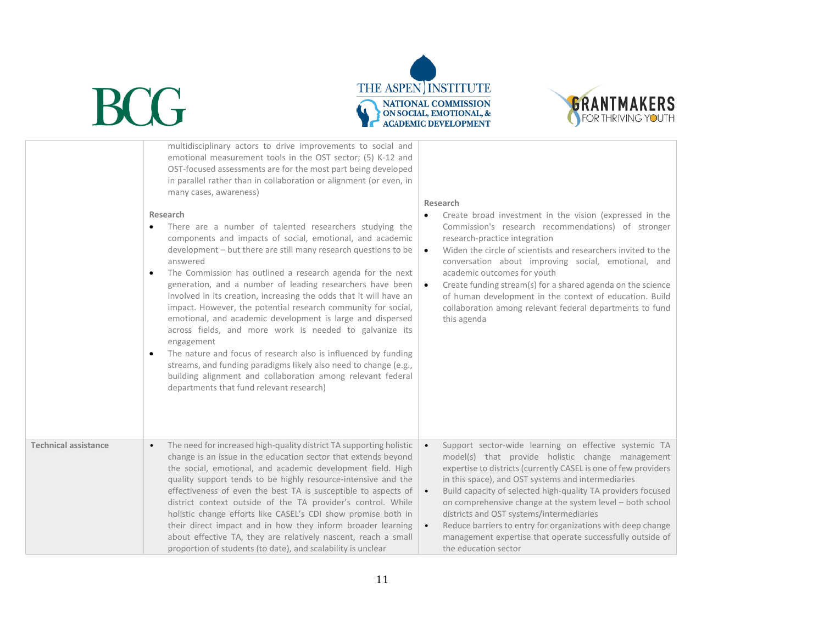



|                             | multidisciplinary actors to drive improvements to social and<br>emotional measurement tools in the OST sector; (5) K-12 and<br>OST-focused assessments are for the most part being developed<br>in parallel rather than in collaboration or alignment (or even, in<br>many cases, awareness)<br>Research<br>There are a number of talented researchers studying the<br>$\bullet$<br>components and impacts of social, emotional, and academic<br>development - but there are still many research questions to be<br>answered<br>The Commission has outlined a research agenda for the next<br>generation, and a number of leading researchers have been<br>involved in its creation, increasing the odds that it will have an<br>impact. However, the potential research community for social,<br>emotional, and academic development is large and dispersed<br>across fields, and more work is needed to galvanize its<br>engagement<br>The nature and focus of research also is influenced by funding<br>$\bullet$<br>streams, and funding paradigms likely also need to change (e.g.,<br>building alignment and collaboration among relevant federal<br>departments that fund relevant research) | Research<br>Create broad investment in the vision (expressed in the<br>Commission's research recommendations) of stronger<br>research-practice integration<br>Widen the circle of scientists and researchers invited to the<br>$\bullet$<br>conversation about improving social, emotional, and<br>academic outcomes for youth<br>Create funding stream(s) for a shared agenda on the science<br>$\bullet$<br>of human development in the context of education. Build<br>collaboration among relevant federal departments to fund<br>this agenda                                                       |
|-----------------------------|-----------------------------------------------------------------------------------------------------------------------------------------------------------------------------------------------------------------------------------------------------------------------------------------------------------------------------------------------------------------------------------------------------------------------------------------------------------------------------------------------------------------------------------------------------------------------------------------------------------------------------------------------------------------------------------------------------------------------------------------------------------------------------------------------------------------------------------------------------------------------------------------------------------------------------------------------------------------------------------------------------------------------------------------------------------------------------------------------------------------------------------------------------------------------------------------------------|--------------------------------------------------------------------------------------------------------------------------------------------------------------------------------------------------------------------------------------------------------------------------------------------------------------------------------------------------------------------------------------------------------------------------------------------------------------------------------------------------------------------------------------------------------------------------------------------------------|
| <b>Technical assistance</b> | The need for increased high-quality district TA supporting holistic<br>$\bullet$<br>change is an issue in the education sector that extends beyond<br>the social, emotional, and academic development field. High<br>quality support tends to be highly resource-intensive and the<br>effectiveness of even the best TA is susceptible to aspects of<br>district context outside of the TA provider's control. While<br>holistic change efforts like CASEL's CDI show promise both in<br>their direct impact and in how they inform broader learning<br>about effective TA, they are relatively nascent, reach a small<br>proportion of students (to date), and scalability is unclear                                                                                                                                                                                                                                                                                                                                                                                                                                                                                                              | Support sector-wide learning on effective systemic TA<br>$\bullet$<br>model(s) that provide holistic change management<br>expertise to districts (currently CASEL is one of few providers<br>in this space), and OST systems and intermediaries<br>Build capacity of selected high-quality TA providers focused<br>$\bullet$<br>on comprehensive change at the system level – both school<br>districts and OST systems/intermediaries<br>Reduce barriers to entry for organizations with deep change<br>$\bullet$<br>management expertise that operate successfully outside of<br>the education sector |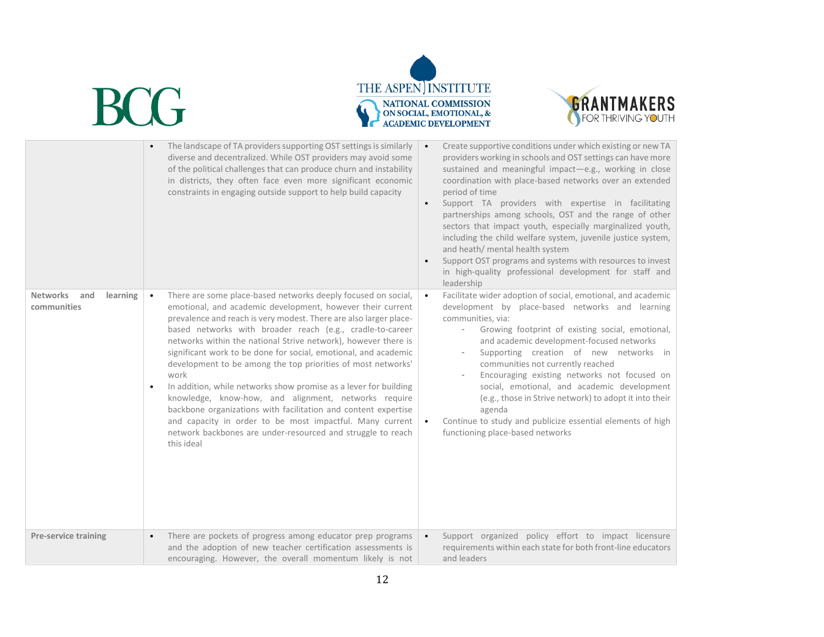



|                                                   | The landscape of TA providers supporting OST settings is similarly<br>diverse and decentralized. While OST providers may avoid some<br>of the political challenges that can produce churn and instability<br>in districts, they often face even more significant economic<br>constraints in engaging outside support to help build capacity                                                                                                                                                                                                                                                                                                                                                                                                                                                                                    | Create supportive conditions under which existing or new TA<br>$\bullet$<br>providers working in schools and OST settings can have more<br>sustained and meaningful impact-e.g., working in close<br>coordination with place-based networks over an extended<br>period of time<br>Support TA providers with expertise in facilitating<br>$\bullet$<br>partnerships among schools, OST and the range of other<br>sectors that impact youth, especially marginalized youth,<br>including the child welfare system, juvenile justice system,<br>and heath/ mental health system<br>Support OST programs and systems with resources to invest<br>in high-quality professional development for staff and<br>leadership |
|---------------------------------------------------|--------------------------------------------------------------------------------------------------------------------------------------------------------------------------------------------------------------------------------------------------------------------------------------------------------------------------------------------------------------------------------------------------------------------------------------------------------------------------------------------------------------------------------------------------------------------------------------------------------------------------------------------------------------------------------------------------------------------------------------------------------------------------------------------------------------------------------|-------------------------------------------------------------------------------------------------------------------------------------------------------------------------------------------------------------------------------------------------------------------------------------------------------------------------------------------------------------------------------------------------------------------------------------------------------------------------------------------------------------------------------------------------------------------------------------------------------------------------------------------------------------------------------------------------------------------|
| <b>Networks</b><br>learning<br>and<br>communities | There are some place-based networks deeply focused on social,<br>$\bullet$<br>emotional, and academic development, however their current<br>prevalence and reach is very modest. There are also larger place-<br>based networks with broader reach (e.g., cradle-to-career<br>networks within the national Strive network), however there is<br>significant work to be done for social, emotional, and academic<br>development to be among the top priorities of most networks'<br>work<br>In addition, while networks show promise as a lever for building<br>knowledge, know-how, and alignment, networks require<br>backbone organizations with facilitation and content expertise<br>and capacity in order to be most impactful. Many current<br>network backbones are under-resourced and struggle to reach<br>this ideal | Facilitate wider adoption of social, emotional, and academic<br>$\bullet$<br>development by place-based networks and learning<br>communities, via:<br>Growing footprint of existing social, emotional,<br>and academic development-focused networks<br>Supporting creation of new networks in<br>communities not currently reached<br>Encouraging existing networks not focused on<br>social, emotional, and academic development<br>(e.g., those in Strive network) to adopt it into their<br>agenda<br>Continue to study and publicize essential elements of high<br>$\bullet$<br>functioning place-based networks                                                                                              |
| <b>Pre-service training</b>                       | There are pockets of progress among educator prep programs<br>$\bullet$<br>and the adoption of new teacher certification assessments is<br>encouraging. However, the overall momentum likely is not                                                                                                                                                                                                                                                                                                                                                                                                                                                                                                                                                                                                                            | Support organized policy effort to impact licensure<br>$\bullet$<br>requirements within each state for both front-line educators<br>and leaders                                                                                                                                                                                                                                                                                                                                                                                                                                                                                                                                                                   |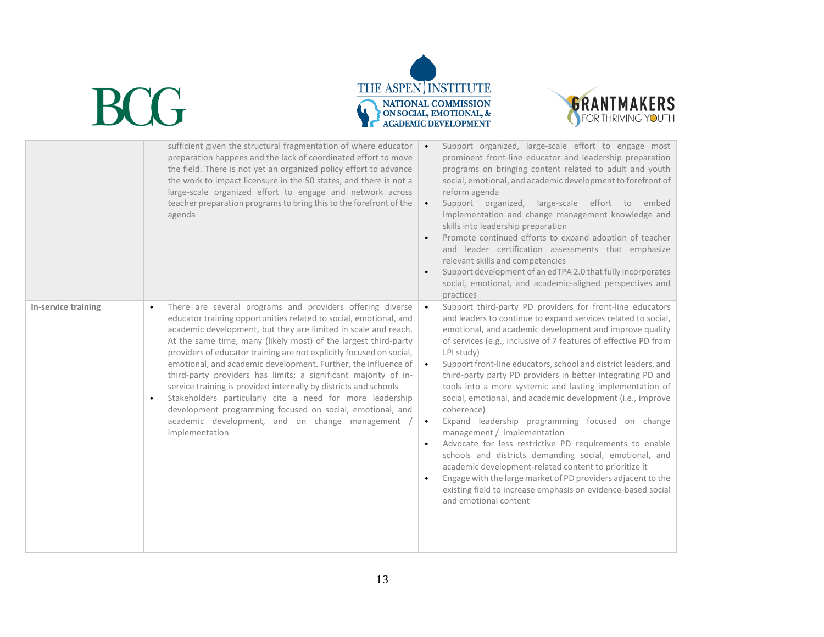



|                     | sufficient given the structural fragmentation of where educator<br>preparation happens and the lack of coordinated effort to move<br>the field. There is not yet an organized policy effort to advance<br>the work to impact licensure in the 50 states, and there is not a<br>large-scale organized effort to engage and network across<br>teacher preparation programs to bring this to the forefront of the<br>agenda                                                                                                                                                                                                                                                                                                                                        | Support organized, large-scale effort to engage most<br>$\bullet$<br>prominent front-line educator and leadership preparation<br>programs on bringing content related to adult and youth<br>social, emotional, and academic development to forefront of<br>reform agenda<br>Support organized, large-scale effort to embed<br>$\bullet$<br>implementation and change management knowledge and<br>skills into leadership preparation<br>Promote continued efforts to expand adoption of teacher<br>and leader certification assessments that emphasize<br>relevant skills and competencies<br>Support development of an edTPA 2.0 that fully incorporates<br>social, emotional, and academic-aligned perspectives and<br>practices                                                                                                                                                                                                                                                                                            |
|---------------------|-----------------------------------------------------------------------------------------------------------------------------------------------------------------------------------------------------------------------------------------------------------------------------------------------------------------------------------------------------------------------------------------------------------------------------------------------------------------------------------------------------------------------------------------------------------------------------------------------------------------------------------------------------------------------------------------------------------------------------------------------------------------|------------------------------------------------------------------------------------------------------------------------------------------------------------------------------------------------------------------------------------------------------------------------------------------------------------------------------------------------------------------------------------------------------------------------------------------------------------------------------------------------------------------------------------------------------------------------------------------------------------------------------------------------------------------------------------------------------------------------------------------------------------------------------------------------------------------------------------------------------------------------------------------------------------------------------------------------------------------------------------------------------------------------------|
| In-service training | There are several programs and providers offering diverse<br>educator training opportunities related to social, emotional, and<br>academic development, but they are limited in scale and reach.<br>At the same time, many (likely most) of the largest third-party<br>providers of educator training are not explicitly focused on social,<br>emotional, and academic development. Further, the influence of<br>third-party providers has limits; a significant majority of in-<br>service training is provided internally by districts and schools<br>Stakeholders particularly cite a need for more leadership<br>$\bullet$<br>development programming focused on social, emotional, and<br>academic development, and on change management<br>implementation | Support third-party PD providers for front-line educators<br>$\bullet$<br>and leaders to continue to expand services related to social,<br>emotional, and academic development and improve quality<br>of services (e.g., inclusive of 7 features of effective PD from<br>LPI study)<br>Support front-line educators, school and district leaders, and<br>$\bullet$<br>third-party party PD providers in better integrating PD and<br>tools into a more systemic and lasting implementation of<br>social, emotional, and academic development (i.e., improve<br>coherence)<br>Expand leadership programming focused on change<br>$\bullet$<br>management / implementation<br>Advocate for less restrictive PD requirements to enable<br>$\bullet$<br>schools and districts demanding social, emotional, and<br>academic development-related content to prioritize it<br>Engage with the large market of PD providers adjacent to the<br>existing field to increase emphasis on evidence-based social<br>and emotional content |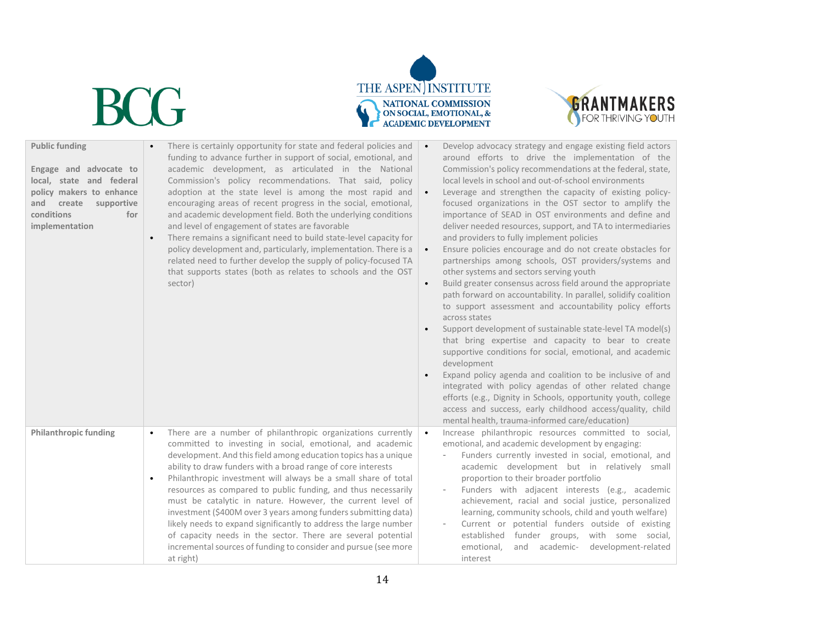





| <b>Public funding</b><br>Engage and advocate to<br>local, state and federal<br>policy makers to enhance<br>supportive<br>and<br>create<br>conditions<br>for<br>implementation | There is certainly opportunity for state and federal policies and<br>funding to advance further in support of social, emotional, and<br>academic development, as articulated in the National<br>Commission's policy recommendations. That said, policy<br>adoption at the state level is among the most rapid and<br>encouraging areas of recent progress in the social, emotional,<br>and academic development field. Both the underlying conditions<br>and level of engagement of states are favorable<br>There remains a significant need to build state-level capacity for<br>$\bullet$<br>policy development and, particularly, implementation. There is a<br>related need to further develop the supply of policy-focused TA<br>that supports states (both as relates to schools and the OST<br>sector) | Develop advocacy strategy and engage existing field actors<br>around efforts to drive the implementation of the<br>Commission's policy recommendations at the federal, state,<br>local levels in school and out-of-school environments<br>Leverage and strengthen the capacity of existing policy-<br>$\bullet$<br>focused organizations in the OST sector to amplify the<br>importance of SEAD in OST environments and define and<br>deliver needed resources, support, and TA to intermediaries<br>and providers to fully implement policies<br>Ensure policies encourage and do not create obstacles for<br>$\bullet$<br>partnerships among schools, OST providers/systems and<br>other systems and sectors serving youth<br>Build greater consensus across field around the appropriate<br>$\bullet$<br>path forward on accountability. In parallel, solidify coalition<br>to support assessment and accountability policy efforts<br>across states<br>Support development of sustainable state-level TA model(s)<br>that bring expertise and capacity to bear to create<br>supportive conditions for social, emotional, and academic<br>development<br>Expand policy agenda and coalition to be inclusive of and<br>integrated with policy agendas of other related change<br>efforts (e.g., Dignity in Schools, opportunity youth, college<br>access and success, early childhood access/quality, child<br>mental health, trauma-informed care/education) |
|-------------------------------------------------------------------------------------------------------------------------------------------------------------------------------|---------------------------------------------------------------------------------------------------------------------------------------------------------------------------------------------------------------------------------------------------------------------------------------------------------------------------------------------------------------------------------------------------------------------------------------------------------------------------------------------------------------------------------------------------------------------------------------------------------------------------------------------------------------------------------------------------------------------------------------------------------------------------------------------------------------|-----------------------------------------------------------------------------------------------------------------------------------------------------------------------------------------------------------------------------------------------------------------------------------------------------------------------------------------------------------------------------------------------------------------------------------------------------------------------------------------------------------------------------------------------------------------------------------------------------------------------------------------------------------------------------------------------------------------------------------------------------------------------------------------------------------------------------------------------------------------------------------------------------------------------------------------------------------------------------------------------------------------------------------------------------------------------------------------------------------------------------------------------------------------------------------------------------------------------------------------------------------------------------------------------------------------------------------------------------------------------------------------------------------------------------------------------------------------|
| <b>Philanthropic funding</b>                                                                                                                                                  | There are a number of philanthropic organizations currently<br>$\bullet$<br>committed to investing in social, emotional, and academic<br>development. And this field among education topics has a unique<br>ability to draw funders with a broad range of core interests<br>Philanthropic investment will always be a small share of total<br>resources as compared to public funding, and thus necessarily<br>must be catalytic in nature. However, the current level of<br>investment (\$400M over 3 years among funders submitting data)<br>likely needs to expand significantly to address the large number<br>of capacity needs in the sector. There are several potential<br>incremental sources of funding to consider and pursue (see more<br>at right)                                               | Increase philanthropic resources committed to social,<br>$\bullet$<br>emotional, and academic development by engaging:<br>Funders currently invested in social, emotional, and<br>academic development but in relatively small<br>proportion to their broader portfolio<br>Funders with adjacent interests (e.g., academic<br>achievement, racial and social justice, personalized<br>learning, community schools, child and youth welfare)<br>Current or potential funders outside of existing<br>established funder groups, with some social,<br>and<br>academic-<br>development-related<br>emotional,<br>interest                                                                                                                                                                                                                                                                                                                                                                                                                                                                                                                                                                                                                                                                                                                                                                                                                                            |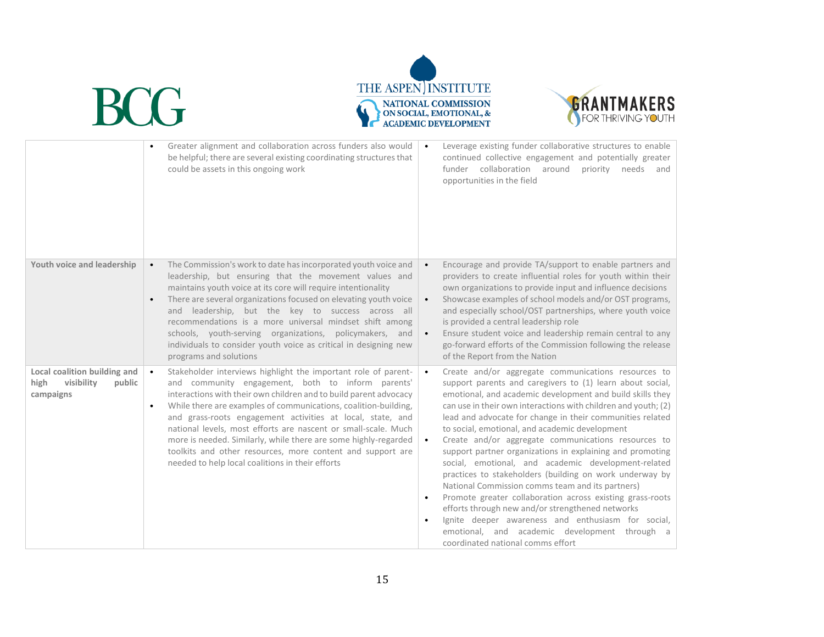



|                                                                           | Greater alignment and collaboration across funders also would<br>be helpful; there are several existing coordinating structures that<br>could be assets in this ongoing work                                                                                                                                                                                                                                                                                                                                                                                                                  | Leverage existing funder collaborative structures to enable<br>continued collective engagement and potentially greater<br>funder collaboration around<br>priority needs and<br>opportunities in the field                                                                                                                                                                                                                                                                                                                                                                                                                                                                                                                                                                                                                                                                                                                                       |
|---------------------------------------------------------------------------|-----------------------------------------------------------------------------------------------------------------------------------------------------------------------------------------------------------------------------------------------------------------------------------------------------------------------------------------------------------------------------------------------------------------------------------------------------------------------------------------------------------------------------------------------------------------------------------------------|-------------------------------------------------------------------------------------------------------------------------------------------------------------------------------------------------------------------------------------------------------------------------------------------------------------------------------------------------------------------------------------------------------------------------------------------------------------------------------------------------------------------------------------------------------------------------------------------------------------------------------------------------------------------------------------------------------------------------------------------------------------------------------------------------------------------------------------------------------------------------------------------------------------------------------------------------|
| Youth voice and leadership                                                | The Commission's work to date has incorporated youth voice and<br>leadership, but ensuring that the movement values and<br>maintains youth voice at its core will require intentionality<br>There are several organizations focused on elevating youth voice<br>and leadership, but the key to success across all<br>recommendations is a more universal mindset shift among<br>schools, youth-serving organizations, policymakers, and<br>individuals to consider youth voice as critical in designing new<br>programs and solutions                                                         | Encourage and provide TA/support to enable partners and<br>$\bullet$<br>providers to create influential roles for youth within their<br>own organizations to provide input and influence decisions<br>Showcase examples of school models and/or OST programs,<br>$\bullet$<br>and especially school/OST partnerships, where youth voice<br>is provided a central leadership role<br>Ensure student voice and leadership remain central to any<br>$\bullet$<br>go-forward efforts of the Commission following the release<br>of the Report from the Nation                                                                                                                                                                                                                                                                                                                                                                                       |
| Local coalition building and<br>high<br>visibility<br>public<br>campaigns | Stakeholder interviews highlight the important role of parent-<br>and community engagement, both to inform parents'<br>interactions with their own children and to build parent advocacy<br>While there are examples of communications, coalition-building,<br>$\bullet$<br>and grass-roots engagement activities at local, state, and<br>national levels, most efforts are nascent or small-scale. Much<br>more is needed. Similarly, while there are some highly-regarded<br>toolkits and other resources, more content and support are<br>needed to help local coalitions in their efforts | Create and/or aggregate communications resources to<br>$\bullet$<br>support parents and caregivers to (1) learn about social,<br>emotional, and academic development and build skills they<br>can use in their own interactions with children and youth; (2)<br>lead and advocate for change in their communities related<br>to social, emotional, and academic development<br>Create and/or aggregate communications resources to<br>$\bullet$<br>support partner organizations in explaining and promoting<br>social, emotional, and academic development-related<br>practices to stakeholders (building on work underway by<br>National Commission comms team and its partners)<br>Promote greater collaboration across existing grass-roots<br>efforts through new and/or strengthened networks<br>Ignite deeper awareness and enthusiasm for social,<br>emotional, and academic development through a<br>coordinated national comms effort |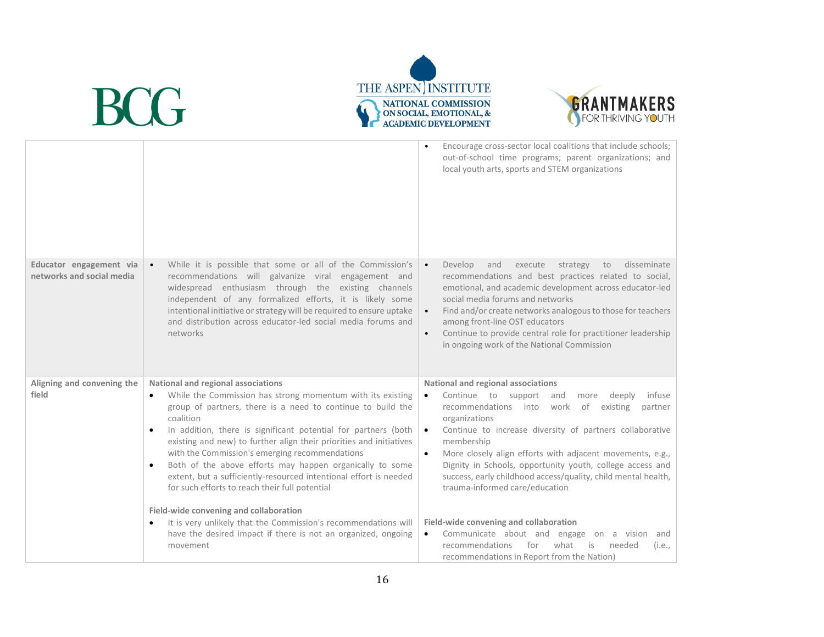



|                                                      |                                                                                                                                                                                                                                                                                                                                                                                                                                                                                                                                                | Encourage cross-sector local coalitions that include schools;<br>out-of-school time programs; parent organizations; and<br>local youth arts, sports and STEM organizations                                                                                                                                                                                                                                                                                                         |
|------------------------------------------------------|------------------------------------------------------------------------------------------------------------------------------------------------------------------------------------------------------------------------------------------------------------------------------------------------------------------------------------------------------------------------------------------------------------------------------------------------------------------------------------------------------------------------------------------------|------------------------------------------------------------------------------------------------------------------------------------------------------------------------------------------------------------------------------------------------------------------------------------------------------------------------------------------------------------------------------------------------------------------------------------------------------------------------------------|
| Educator engagement via<br>networks and social media | While it is possible that some or all of the Commission's<br>recommendations will galvanize viral engagement and<br>widespread enthusiasm through the existing channels<br>independent of any formalized efforts, it is likely some<br>intentional initiative or strategy will be required to ensure uptake<br>and distribution across educator-led social media forums and<br>networks                                                                                                                                                        | Develop<br>disseminate<br>and<br>execute<br>strategy<br>to<br>$\bullet$<br>recommendations and best practices related to social,<br>emotional, and academic development across educator-led<br>social media forums and networks<br>Find and/or create networks analogous to those for teachers<br>$\bullet$<br>among front-line OST educators<br>Continue to provide central role for practitioner leadership<br>$\bullet$<br>in ongoing work of the National Commission           |
| Aligning and convening the                           | National and regional associations                                                                                                                                                                                                                                                                                                                                                                                                                                                                                                             | National and regional associations                                                                                                                                                                                                                                                                                                                                                                                                                                                 |
| field                                                | While the Commission has strong momentum with its existing<br>group of partners, there is a need to continue to build the<br>coalition<br>In addition, there is significant potential for partners (both<br>$\bullet$<br>existing and new) to further align their priorities and initiatives<br>with the Commission's emerging recommendations<br>Both of the above efforts may happen organically to some<br>$\bullet$<br>extent, but a sufficiently-resourced intentional effort is needed<br>for such efforts to reach their full potential | Continue to support<br>infuse<br>and<br>deeply<br>$\bullet$<br>more<br>recommendations into<br>of<br>existing<br>work<br>partner<br>organizations<br>Continue to increase diversity of partners collaborative<br>$\bullet$<br>membership<br>More closely align efforts with adjacent movements, e.g.,<br>$\bullet$<br>Dignity in Schools, opportunity youth, college access and<br>success, early childhood access/quality, child mental health,<br>trauma-informed care/education |
|                                                      | Field-wide convening and collaboration<br>It is very unlikely that the Commission's recommendations will<br>$\bullet$<br>have the desired impact if there is not an organized, ongoing<br>movement                                                                                                                                                                                                                                                                                                                                             | Field-wide convening and collaboration<br>Communicate about and engage on a vision and<br>$\bullet$<br>recommendations<br>for<br>what<br>is<br>needed<br>(i.e.,<br>recommendations in Report from the Nation)                                                                                                                                                                                                                                                                      |